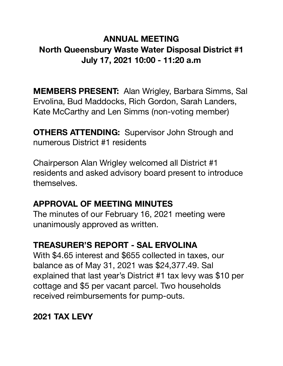### **ANNUAL MEETING North Queensbury Waste Water Disposal District #1 July 17, 2021 10:00 - 11:20 a.m**

**MEMBERS PRESENT:** Alan Wrigley, Barbara Simms, Sal Ervolina, Bud Maddocks, Rich Gordon, Sarah Landers, Kate McCarthy and Len Simms (non-voting member)

**OTHERS ATTENDING:** Supervisor John Strough and numerous District #1 residents

Chairperson Alan Wrigley welcomed all District #1 residents and asked advisory board present to introduce themselves.

### **APPROVAL OF MEETING MINUTES**

The minutes of our February 16, 2021 meeting were unanimously approved as written.

### **TREASURER'S REPORT - SAL ERVOLINA**

With \$4.65 interest and \$655 collected in taxes, our balance as of May 31, 2021 was \$24,377.49. Sal explained that last year's District #1 tax levy was \$10 per cottage and \$5 per vacant parcel. Two households received reimbursements for pump-outs.

### **2021 TAX LEVY**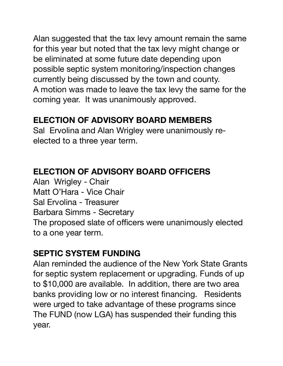Alan suggested that the tax levy amount remain the same for this year but noted that the tax levy might change or be eliminated at some future date depending upon possible septic system monitoring/inspection changes currently being discussed by the town and county. A motion was made to leave the tax levy the same for the coming year. It was unanimously approved.

### **ELECTION OF ADVISORY BOARD MEMBERS**

Sal Ervolina and Alan Wrigley were unanimously reelected to a three year term.

### **ELECTION OF ADVISORY BOARD OFFICERS**

Alan Wrigley - Chair Matt O'Hara - Vice Chair Sal Ervolina - Treasurer Barbara Simms - Secretary The proposed slate of officers were unanimously elected to a one year term.

### **SEPTIC SYSTEM FUNDING**

Alan reminded the audience of the New York State Grants for septic system replacement or upgrading. Funds of up to \$10,000 are available. In addition, there are two area banks providing low or no interest financing. Residents were urged to take advantage of these programs since The FUND (now LGA) has suspended their funding this year.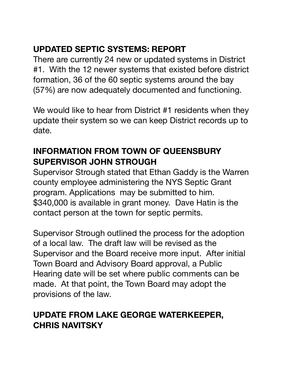## **UPDATED SEPTIC SYSTEMS: REPORT**

There are currently 24 new or updated systems in District #1. With the 12 newer systems that existed before district formation, 36 of the 60 septic systems around the bay (57%) are now adequately documented and functioning.

We would like to hear from District #1 residents when they update their system so we can keep District records up to date.

## **INFORMATION FROM TOWN OF QUEENSBURY SUPERVISOR JOHN STROUGH**

Supervisor Strough stated that Ethan Gaddy is the Warren county employee administering the NYS Septic Grant program. Applications may be submitted to him. \$340,000 is available in grant money. Dave Hatin is the contact person at the town for septic permits.

Supervisor Strough outlined the process for the adoption of a local law. The draft law will be revised as the Supervisor and the Board receive more input. After initial Town Board and Advisory Board approval, a Public Hearing date will be set where public comments can be made. At that point, the Town Board may adopt the provisions of the law.

## **UPDATE FROM LAKE GEORGE WATERKEEPER, CHRIS NAVITSKY**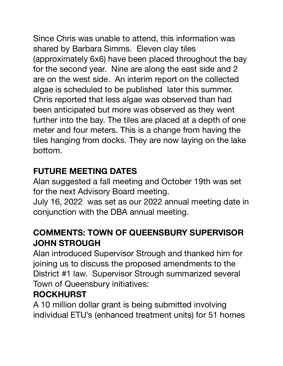Since Chris was unable to attend, this information was shared by Barbara Simms. Eleven clay tiles (approximately 6x6) have been placed throughout the bay for the second year. Nine are along the east side and 2 are on the west side. An interim report on the collected algae is scheduled to be published later this summer. Chris reported that less algae was observed than had been anticipated but more was observed as they went further into the bay. The tiles are placed at a depth of one meter and four meters. This is a change from having the tiles hanging from docks. They are now laying on the lake bottom.

## **FUTURE MEETING DATES**

Alan suggested a fall meeting and October 19th was set for the next Advisory Board meeting.

July 16, 2022 was set as our 2022 annual meeting date in conjunction with the DBA annual meeting.

## **COMMENTS: TOWN OF QUEENSBURY SUPERVISOR JOHN STROUGH**

Alan introduced Supervisor Strough and thanked him for joining us to discuss the proposed amendments to the District #1 law. Supervisor Strough summarized several Town of Queensbury initiatives:

## **ROCKHURST**

A 10 million dollar grant is being submitted involving individual ETU's (enhanced treatment units) for 51 homes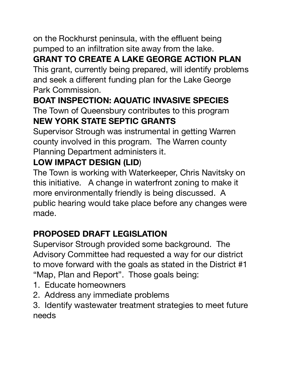on the Rockhurst peninsula, with the effluent being pumped to an infiltration site away from the lake.

# **GRANT TO CREATE A LAKE GEORGE ACTION PLAN**

This grant, currently being prepared, will identify problems and seek a different funding plan for the Lake George Park Commission.

# **BOAT INSPECTION: AQUATIC INVASIVE SPECIES**

The Town of Queensbury contributes to this program **NEW YORK STATE SEPTIC GRANTS** 

Supervisor Strough was instrumental in getting Warren county involved in this program. The Warren county Planning Department administers it.

# **LOW IMPACT DESIGN (LID**)

The Town is working with Waterkeeper, Chris Navitsky on this initiative. A change in waterfront zoning to make it more environmentally friendly is being discussed. A public hearing would take place before any changes were made.

# **PROPOSED DRAFT LEGISLATION**

Supervisor Strough provided some background. The Advisory Committee had requested a way for our district to move forward with the goals as stated in the District #1 "Map, Plan and Report". Those goals being:

- 1. Educate homeowners
- 2. Address any immediate problems
- 3. Identify wastewater treatment strategies to meet future needs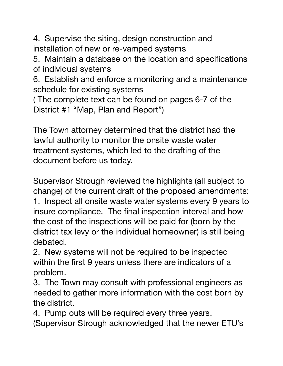4. Supervise the siting, design construction and installation of new or re-vamped systems

5. Maintain a database on the location and specifications of individual systems

6. Establish and enforce a monitoring and a maintenance schedule for existing systems

( The complete text can be found on pages 6-7 of the District #1 "Map, Plan and Report")

The Town attorney determined that the district had the lawful authority to monitor the onsite waste water treatment systems, which led to the drafting of the document before us today.

Supervisor Strough reviewed the highlights (all subject to change) of the current draft of the proposed amendments:

1. Inspect all onsite waste water systems every 9 years to insure compliance. The final inspection interval and how the cost of the inspections will be paid for (born by the district tax levy or the individual homeowner) is still being debated.

2. New systems will not be required to be inspected within the first 9 years unless there are indicators of a problem.

3. The Town may consult with professional engineers as needed to gather more information with the cost born by the district.

4. Pump outs will be required every three years.

(Supervisor Strough acknowledged that the newer ETU's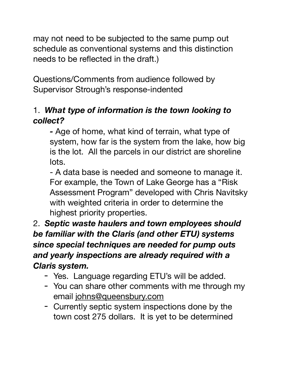may not need to be subjected to the same pump out schedule as conventional systems and this distinction needs to be reflected in the draft.)

Questions/Comments from audience followed by Supervisor Strough's response-indented

### 1. *What type of information is the town looking to collect?*

*-* Age of home, what kind of terrain, what type of system, how far is the system from the lake, how big is the lot. All the parcels in our district are shoreline lots.

- A data base is needed and someone to manage it. For example, the Town of Lake George has a "Risk Assessment Program" developed with Chris Navitsky with weighted criteria in order to determine the highest priority properties.

2. *Septic waste haulers and town employees should be familiar with the Claris (and other ETU) systems since special techniques are needed for pump outs and yearly inspections are already required with a Claris system.*

- Yes. Language regarding ETU's will be added.
- You can share other comments with me through my email [johns@queensbury.com](mailto:johns@queensbury.com)
- Currently septic system inspections done by the town cost 275 dollars. It is yet to be determined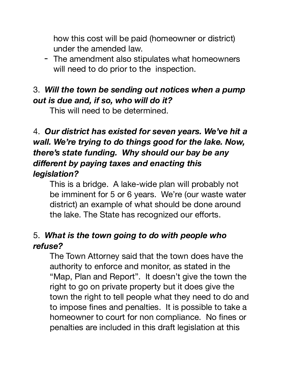how this cost will be paid (homeowner or district) under the amended law.

- The amendment also stipulates what homeowners will need to do prior to the inspection.

### 3. *Will the town be sending out notices when a pump out is due and, if so, who will do it?*

This will need to be determined.

### 4. *Our district has existed for seven years. We've hit a wall. We're trying to do things good for the lake. Now, there's state funding. Why should our bay be any different by paying taxes and enacting this legislation?*

This is a bridge. A lake-wide plan will probably not be imminent for 5 or 6 years. We're (our waste water district) an example of what should be done around the lake. The State has recognized our efforts.

### 5. *What is the town going to do with people who refuse?*

The Town Attorney said that the town does have the authority to enforce and monitor, as stated in the "Map, Plan and Report". It doesn't give the town the right to go on private property but it does give the town the right to tell people what they need to do and to impose fines and penalties. It is possible to take a homeowner to court for non compliance. No fines or penalties are included in this draft legislation at this